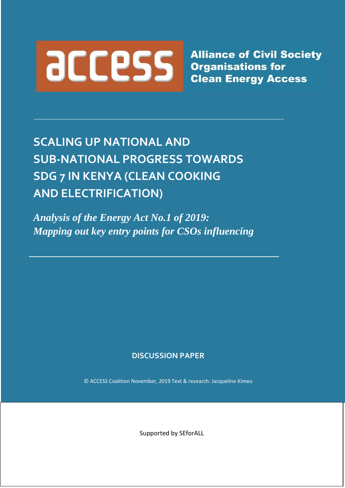

**Alliance of Civil Society** 

# **SCALING UP NATIONAL AND SUB-NATIONAL PROGRESS TOWARDS SDG 7 IN KENYA (CLEAN COOKING AND ELECTRIFICATION)**

*Analysis of the Energy Act No.1 of 2019: Mapping out key entry points for CSOs influencing*

# **DISCUSSION PAPER**

© ACCESS Coalition November, 2019 Text & research: Jacqueline Kimeu

Supported by SEforALL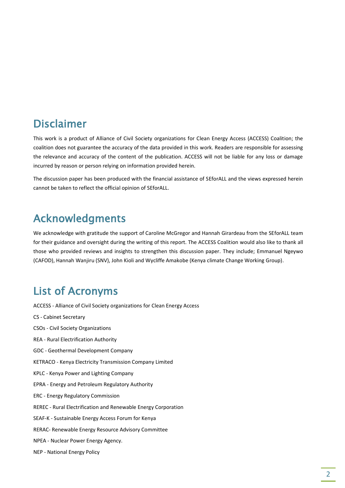# Disclaimer

This work is a product of Alliance of Civil Society organizations for Clean Energy Access (ACCESS) Coalition; the coalition does not guarantee the accuracy of the data provided in this work. Readers are responsible for assessing the relevance and accuracy of the content of the publication. ACCESS will not be liable for any loss or damage incurred by reason or person relying on information provided herein.

The discussion paper has been produced with the financial assistance of SEforALL and the views expressed herein cannot be taken to reflect the official opinion of SEforALL.

# Acknowledgments

We acknowledge with gratitude the support of Caroline McGregor and Hannah Girardeau from the SEforALL team for their guidance and oversight during the writing of this report. The ACCESS Coalition would also like to thank all those who provided reviews and insights to strengthen this discussion paper. They include; Emmanuel Ngeywo (CAFOD), Hannah Wanjiru (SNV), John Kioli and Wycliffe Amakobe (Kenya climate Change Working Group).

# List of Acronyms

ACCESS - Alliance of Civil Society organizations for Clean Energy Access CS - Cabinet Secretary CSOs - Civil Society Organizations REA - Rural Electrification Authority GDC - Geothermal Development Company KETRACO - Kenya Electricity Transmission Company Limited KPLC - Kenya Power and Lighting Company EPRA - Energy and Petroleum Regulatory Authority ERC - Energy Regulatory Commission REREC - Rural Electrification and Renewable Energy Corporation SEAF-K - Sustainable Energy Access Forum for Kenya RERAC- Renewable Energy Resource Advisory Committee NPEA - Nuclear Power Energy Agency. NEP - National Energy Policy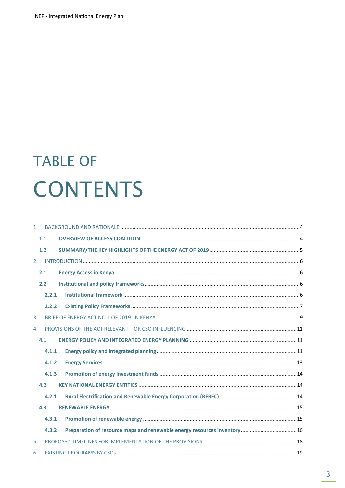# **TABLE OF CONTENTS**

| $1 -$ |       |                                                                                                                                                                                                                                                                                                                                                                                                                                               |  |
|-------|-------|-----------------------------------------------------------------------------------------------------------------------------------------------------------------------------------------------------------------------------------------------------------------------------------------------------------------------------------------------------------------------------------------------------------------------------------------------|--|
|       | 1.1   |                                                                                                                                                                                                                                                                                                                                                                                                                                               |  |
|       | 1.2   |                                                                                                                                                                                                                                                                                                                                                                                                                                               |  |
| 2.    |       |                                                                                                                                                                                                                                                                                                                                                                                                                                               |  |
|       | 2.1   |                                                                                                                                                                                                                                                                                                                                                                                                                                               |  |
|       | 2.2   |                                                                                                                                                                                                                                                                                                                                                                                                                                               |  |
|       | 2.2.1 | $\textbf{Institutional framework} \text{.} \textcolor{red}{\textbf{1}} \textbf{.} \textbf{.} \textbf{.} \textbf{.} \textbf{.} \textbf{.} \textbf{.} \textbf{.} \textbf{.} \textbf{.} \textbf{.} \textbf{.} \textbf{.} \textbf{.} \textbf{.} \textbf{.} \textbf{.} \textbf{.} \textbf{.} \textbf{.} \textbf{.} \textbf{.} \textbf{.} \textbf{.} \textbf{.} \textbf{.} \textbf{.} \textbf{.} \textbf{.} \textbf{.} \textbf{.} \textbf{.} \text$ |  |
|       | 2.2.2 |                                                                                                                                                                                                                                                                                                                                                                                                                                               |  |
| 3.    |       |                                                                                                                                                                                                                                                                                                                                                                                                                                               |  |
| 4.    |       |                                                                                                                                                                                                                                                                                                                                                                                                                                               |  |
|       | 4.1   |                                                                                                                                                                                                                                                                                                                                                                                                                                               |  |
|       | 4.1.1 |                                                                                                                                                                                                                                                                                                                                                                                                                                               |  |
|       | 4.1.2 |                                                                                                                                                                                                                                                                                                                                                                                                                                               |  |
|       | 4.1.3 |                                                                                                                                                                                                                                                                                                                                                                                                                                               |  |
|       | 4.2   |                                                                                                                                                                                                                                                                                                                                                                                                                                               |  |
|       | 4.2.1 |                                                                                                                                                                                                                                                                                                                                                                                                                                               |  |
|       | 4.3   |                                                                                                                                                                                                                                                                                                                                                                                                                                               |  |
|       | 4.3.1 |                                                                                                                                                                                                                                                                                                                                                                                                                                               |  |
|       | 4.3.2 | Preparation of resource maps and renewable energy resources inventory 16                                                                                                                                                                                                                                                                                                                                                                      |  |
| 5.    |       |                                                                                                                                                                                                                                                                                                                                                                                                                                               |  |
| 6.    |       |                                                                                                                                                                                                                                                                                                                                                                                                                                               |  |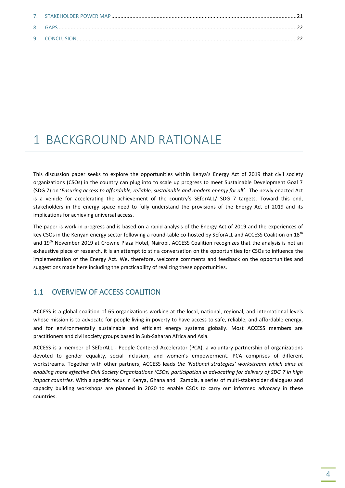# 1 BACKGROUND AND RATIONALE

This discussion paper seeks to explore the opportunities within Kenya's Energy Act of 2019 that civil society organizations (CSOs) in the country can plug into to scale up progress to meet Sustainable Development Goal 7 (SDG 7) on '*Ensuring access to affordable, reliable, sustainable and modern energy for all'.* The newly enacted Act is a vehicle for accelerating the achievement of the country's SEforALL/ SDG 7 targets. Toward this end, stakeholders in the energy space need to fully understand the provisions of the Energy Act of 2019 and its implications for achieving universal access.

The paper is work-in-progress and is based on a rapid analysis of the Energy Act of 2019 and the experiences of key CSOs in the Kenyan energy sector following a round-table co-hosted by SEforALL and ACCESS Coalition on 18<sup>th</sup> and 19<sup>th</sup> November 2019 at Crowne Plaza Hotel, Nairobi. ACCESS Coalition recognizes that the analysis is not an exhaustive piece of research, it is an attempt to stir a conversation on the opportunities for CSOs to influence the implementation of the Energy Act. We, therefore, welcome comments and feedback on the opportunities and suggestions made here including the practicability of realizing these opportunities.

## 1.1 OVERVIEW OF ACCESS COALITION

ACCESS is a global coalition of 65 organizations working at the local, national, regional, and international levels whose mission is to advocate for people living in poverty to have access to safe, reliable, and affordable energy, and for environmentally sustainable and efficient energy systems globally. Most ACCESS members are practitioners and civil society groups based in Sub-Saharan Africa and Asia.

ACCESS is a member of SEforALL - People-Centered Accelerator (PCA), a voluntary partnership of organizations devoted to gender equality, social inclusion, and women's empowerment. PCA comprises of different workstreams. Together with other partners, ACCESS leads *the 'National strategies' workstream which aims at enabling more effective Civil Society Organizations (CSOs) participation in advocating for delivery of SDG 7 in high impact countries.* With a specific focus in Kenya, Ghana and Zambia, a series of multi-stakeholder dialogues and capacity building workshops are planned in 2020 to enable CSOs to carry out informed advocacy in these countries.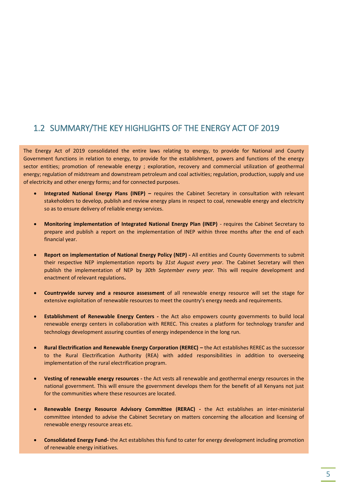# 1.2 SUMMARY/THE KEY HIGHLIGHTS OF THE ENERGY ACT OF 2019

The Energy Act of 2019 consolidated the entire laws relating to energy, to provide for National and County Government functions in relation to energy, to provide for the establishment, powers and functions of the energy sector entities; promotion of renewable energy ; exploration, recovery and commercial utilization of geothermal energy; regulation of midstream and downstream petroleum and coal activities; regulation, production, supply and use of electricity and other energy forms; and for connected purposes.

- **Integrated National Energy Plans (INEP) –** requires the Cabinet Secretary in consultation with relevant stakeholders to develop, publish and review energy plans in respect to coal, renewable energy and electricity so as to ensure delivery of reliable energy services.
- **Monitoring implementation of Integrated National Energy Plan (INEP)**  requires the Cabinet Secretary to prepare and publish a report on the implementation of INEP within three months after the end of each financial year.
- **Report on implementation of National Energy Policy (NEP) -** All entities and County Governments to submit their respective NEP implementation reports by *31st August every year*. The Cabinet Secretary will then publish the implementation of NEP by *30th September every year.* This will require development and enactment of relevant regulations**.**
- **Countrywide survey and a resource assessment** of all renewable energy resource will set the stage for extensive exploitation of renewable resources to meet the country's energy needs and requirements.
- **Establishment of Renewable Energy Centers -** the Act also empowers county governments to build local renewable energy centers in collaboration with REREC. This creates a platform for technology transfer and technology development assuring counties of energy independence in the long run.
- **Rural Electrification and Renewable Energy Corporation (REREC) –** the Act establishes REREC as the successor to the Rural Electrification Authority (REA) with added responsibilities in addition to overseeing implementation of the rural electrification program.
- **Vesting of renewable energy resources -** the Act vests all renewable and geothermal energy resources in the national government. This will ensure the government develops them for the benefit of all Kenyans not just for the communities where these resources are located.
- **Renewable Energy Resource Advisory Committee (RERAC) -** the Act establishes an inter-ministerial committee intended to advise the Cabinet Secretary on matters concerning the allocation and licensing of renewable energy resource areas etc.
- **Consolidated Energy Fund-** the Act establishes this fund to cater for energy development including promotion of renewable energy initiatives.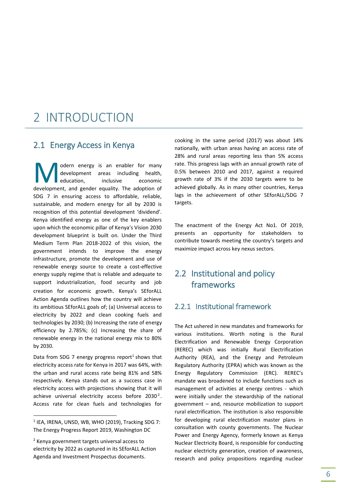# 2 INTRODUCTION

### 2.1 Energy Access in Kenya

odern energy is an enabler for many development areas including health, education. inclusive economic **M** odern energy is an enabler for many development areas including health, education, inclusive economic development, and gender equality. The adoption of SDG 7 in ensuring access to affordable, reliable, sustainable, and modern energy for all by 2030 is recognition of this potential development 'dividend'. Kenya identified energy as one of the key enablers upon which the economic pillar of Kenya's Vision 2030 development blueprint is built on. Under the Third Medium Term Plan 2018-2022 of this vision, the government intends to improve the energy infrastructure, promote the development and use of renewable energy source to create a cost-effective energy supply regime that is reliable and adequate to support industrialization, food security and job creation for economic growth. Kenya's SEforALL Action Agenda outlines how the country will achieve its ambitious SEforALL goals of; (a) Universal access to electricity by 2022 and clean cooking fuels and technologies by 2030; (b) Increasing the rate of energy efficiency by 2.785%; (c) Increasing the share of renewable energy in the national energy mix to 80% by 2030.

Data from SDG 7 energy progress report<sup>1</sup> shows that electricity access rate for Kenya in 2017 was 64%, with the urban and rural access rate being 81% and 58% respectively. Kenya stands out as a success case in electricity access with projections showing that it will achieve universal electricity access before  $2030^2$ . Access rate for clean fuels and technologies for

 $\overline{a}$ 

cooking in the same period (2017) was about 14% nationally, with urban areas having an access rate of 28% and rural areas reporting less than 5% access rate. This progress lags with an annual growth rate of 0.5% between 2010 and 2017, against a required growth rate of 3% if the 2030 targets were to be achieved globally. As in many other countries, Kenya lags in the achievement of other SEforALL/SDG 7 targets.

The enactment of the Energy Act No1. Of 2019, presents an opportunity for stakeholders to contribute towards meeting the country's targets and maximize impact across key nexus sectors.

# 2.2 Institutional and policy frameworks

#### 2.2.1 Institutional framework

The Act ushered in new mandates and frameworks for various institutions. Worth noting is the Rural Electrification and Renewable Energy Corporation (REREC) which was initially Rural Electrification Authority (REA), and the Energy and Petroleum Regulatory Authority (EPRA) which was known as the Energy Regulatory Commission (ERC). REREC's mandate was broadened to include functions such as management of activities at energy centres - which were initially under the stewardship of the national government – and, resource mobilization to support rural electrification. The institution is also responsible for developing rural electrification master plans in consultation with county governments. The Nuclear Power and Energy Agency, formerly known as Kenya Nuclear Electricity Board, is responsible for conducting nuclear electricity generation, creation of awareness, research and policy propositions regarding nuclear

 $<sup>1</sup>$  IEA, IRENA, UNSD, WB, WHO (2019), Tracking SDG 7:</sup> The Energy Progress Report 2019, Washington DC

 $2$  Kenya government targets universal access to electricity by 2022 as captured in its SEforALL Action Agenda and Investment Prospectus documents.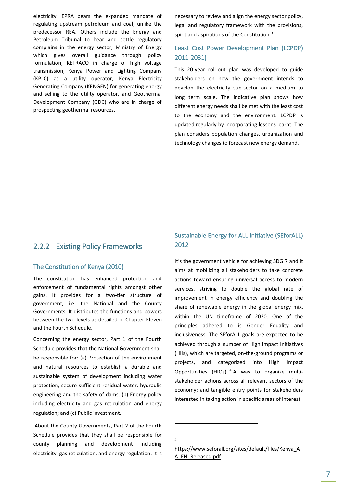electricity. EPRA bears the expanded mandate of regulating upstream petroleum and coal, unlike the predecessor REA. Others include the Energy and Petroleum Tribunal to hear and settle regulatory complains in the energy sector, Ministry of Energy which gives overall guidance through policy formulation, KETRACO in charge of high voltage transmission, Kenya Power and Lighting Company (KPLC) as a utility operator, Kenya Electricity Generating Company (KENGEN) for generating energy and selling to the utility operator, and Geothermal Development Company (GDC) who are in charge of prospecting geothermal resources.

necessary to review and align the energy sector policy, legal and regulatory framework with the provisions, spirit and aspirations of the Constitution.<sup>3</sup>

### Least Cost Power Development Plan (LCPDP) 2011-2031)

This 20-year roll-out plan was developed to guide stakeholders on how the government intends to develop the electricity sub-sector on a medium to long term scale. The indicative plan shows how different energy needs shall be met with the least cost to the economy and the environment. LCPDP is updated regularly by incorporating lessons learnt. The plan considers population changes, urbanization and technology changes to forecast new energy demand.

### 2.2.2 Existing Policy Frameworks

#### The Constitution of Kenya (2010)

The constitution has enhanced protection and enforcement of fundamental rights amongst other gains. It provides for a two-tier structure of government, i.e. the National and the County Governments. It distributes the functions and powers between the two levels as detailed in Chapter Eleven and the Fourth Schedule.

Concerning the energy sector, Part 1 of the Fourth Schedule provides that the National Government shall be responsible for: (a) Protection of the environment and natural resources to establish a durable and sustainable system of development including water protection, secure sufficient residual water, hydraulic engineering and the safety of dams. (b) Energy policy including electricity and gas reticulation and energy regulation; and (c) Public investment.

About the County Governments, Part 2 of the Fourth Schedule provides that they shall be responsible for county planning and development including electricity, gas reticulation, and energy regulation. It is

### Sustainable Energy for ALL Initiative (SEforALL) 2012

It's the government vehicle for achieving SDG 7 and it aims at mobilizing all stakeholders to take concrete actions toward ensuring universal access to modern services, striving to double the global rate of improvement in energy efficiency and doubling the share of renewable energy in the global energy mix, within the UN timeframe of 2030. One of the principles adhered to is Gender Equality and inclusiveness. The SEforALL goals are expected to be achieved through a number of High Impact Initiatives (HIIs), which are targeted, on-the-ground programs or projects, and categorized into High Impact Opportunities (HIOs). <sup>4</sup> A way to organize multistakeholder actions across all relevant sectors of the economy; and tangible entry points for stakeholders interested in taking action in specific areas of interest.

1

<sup>4</sup>

[https://www.seforall.org/sites/default/files/Kenya\\_A](https://www.seforall.org/sites/default/files/Kenya_AA_EN_Released.pdf) [A\\_EN\\_Released.pdf](https://www.seforall.org/sites/default/files/Kenya_AA_EN_Released.pdf)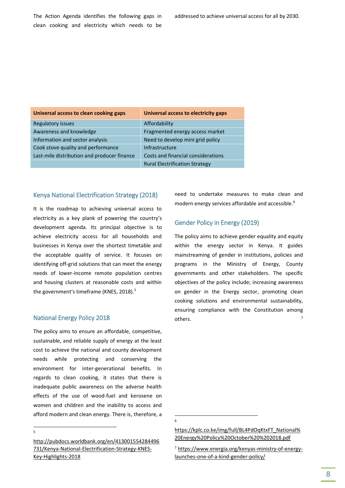The Action Agenda identifies the following gaps in clean cooking and electricity which needs to be

| Universal access to clean cooking gaps      | Universal access to electricity gaps  |
|---------------------------------------------|---------------------------------------|
| <b>Regulatory issues</b>                    | Affordability                         |
| Awareness and knowledge                     | Fragmented energy access market       |
| Information and sector analysis             | Need to develop mini grid policy      |
| Cook stove quality and performance          | Infrastructure                        |
| Last-mile distribution and producer finance | Costs and financial considerations    |
|                                             | <b>Rural Electrification Strategy</b> |

#### Kenya National Electrification Strategy (2018)

It is the roadmap to achieving universal access to electricity as a key plank of powering the country's development agenda. Its principal objective is to achieve electricity access for all households and businesses in Kenya over the shortest timetable and the acceptable quality of service. It focuses on identifying off-grid solutions that can meet the energy needs of lower-income remote population centres and housing clusters at reasonable costs and within the government's timeframe (KNES, 2018).<sup>5</sup>

#### National Energy Policy 2018

The policy aims to ensure an affordable, competitive, sustainable, and reliable supply of energy at the least cost to achieve the national and county development needs while protecting and conserving the environment for inter-generational benefits. In regards to clean cooking, it states that there is inadequate public awareness on the adverse health effects of the use of wood-fuel and kerosene on women and children and the inability to access and afford modern and clean energy. There is, therefore, a

 $\overline{a}$ 5 need to undertake measures to make clean and modern energy services affordable and accessible.<sup>6</sup>

#### Gender Policy in Energy (2019)

The policy aims to achieve gender equality and equity within the energy sector in Kenya. It guides mainstreaming of gender in institutions, policies and programs in the Ministry of Energy, County governments and other stakeholders. The specific objectives of the policy include; increasing awareness on gender in the Energy sector, promoting clean cooking solutions and environmental sustainability, ensuring compliance with the Constitution among others. 7

**-**6

[http://pubdocs.worldbank.org/en/413001554284496](http://pubdocs.worldbank.org/en/413001554284496731/Kenya-National-Electrification-Strategy-KNES-Key-Highlights-2018) [731/Kenya-National-Electrification-Strategy-KNES-](http://pubdocs.worldbank.org/en/413001554284496731/Kenya-National-Electrification-Strategy-KNES-Key-Highlights-2018)[Key-Highlights-2018](http://pubdocs.worldbank.org/en/413001554284496731/Kenya-National-Electrification-Strategy-KNES-Key-Highlights-2018)

[https://kplc.co.ke/img/full/BL4PdOqKtxFT\\_National%](https://kplc.co.ke/img/full/BL4PdOqKtxFT_National%20Energy%20Policy%20October%20%202018.pdf) [20Energy%20Policy%20October%20%202018.pdf](https://kplc.co.ke/img/full/BL4PdOqKtxFT_National%20Energy%20Policy%20October%20%202018.pdf)

<sup>7</sup> [https://www.energia.org/kenyas-ministry-of-energy](https://www.energia.org/kenyas-ministry-of-energy-launches-one-of-a-kind-gender-policy/)[launches-one-of-a-kind-gender-policy/](https://www.energia.org/kenyas-ministry-of-energy-launches-one-of-a-kind-gender-policy/)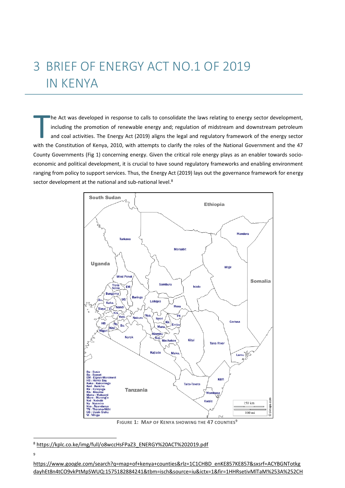# 3 BRIEF OF ENERGY ACT NO.1 OF 2019 IN KENYA

he Act was developed in response to calls to consolidate the laws relating to energy sector development, including the promotion of renewable energy and; regulation of midstream and downstream petroleum and coal activities. The Energy Act (2019) aligns the legal and regulatory framework of the energy sector he Act was developed in response to calls to consolidate the laws relating to energy sector development, including the promotion of renewable energy and; regulation of midstream and downstream petroleum and coal activities County Governments (Fig 1) concerning energy. Given the critical role energy plays as an enabler towards socioeconomic and political development, it is crucial to have sound regulatory frameworks and enabling environment ranging from policy to support services. Thus, the Energy Act (2019) lays out the governance framework for energy sector development at the national and sub-national level.<sup>8</sup>



**FIGURE 1: MAP OF KENYA SHOWING THE 47 COUNTIES<sup>9</sup>**

 $\overline{a}$ 

<sup>8</sup> [https://kplc.co.ke/img/full/o8wccHsFPaZ3\\_ENERGY%20ACT%202019.pdf](https://kplc.co.ke/img/full/o8wccHsFPaZ3_ENERGY%20ACT%202019.pdf)

<sup>9</sup>

[https://www.google.com/search?q=map+of+kenya+counties&rlz=1C1CHBD\\_enKE857KE857&sxsrf=ACYBGNTotkg](https://www.google.com/search?q=map+of+kenya+counties&rlz=1C1CHBD_enKE857KE857&sxsrf=ACYBGNTotkgdayhEt8n4tCO9vkPtMpSWUQ:1575182884241&tbm=isch&source=iu&ictx=1&fir=1HHRsetivMlTaM%253A%252CHo5CfAOlnvTAoM%252C_&vet=1&usg=AI4_-kShoebZHHi4uqDw0iAsj9yov8HvNw&sa=X&ved=2ahUKEwifx5XC7ZPmAhXCGewKHegEBpwQ9QEwDXoECAYQQg#imgrc=aehohAlBa0ViaM:&vet=1) [dayhEt8n4tCO9vkPtMpSWUQ:1575182884241&tbm=isch&source=iu&ictx=1&fir=1HHRsetivMlTaM%253A%252CH](https://www.google.com/search?q=map+of+kenya+counties&rlz=1C1CHBD_enKE857KE857&sxsrf=ACYBGNTotkgdayhEt8n4tCO9vkPtMpSWUQ:1575182884241&tbm=isch&source=iu&ictx=1&fir=1HHRsetivMlTaM%253A%252CHo5CfAOlnvTAoM%252C_&vet=1&usg=AI4_-kShoebZHHi4uqDw0iAsj9yov8HvNw&sa=X&ved=2ahUKEwifx5XC7ZPmAhXCGewKHegEBpwQ9QEwDXoECAYQQg#imgrc=aehohAlBa0ViaM:&vet=1)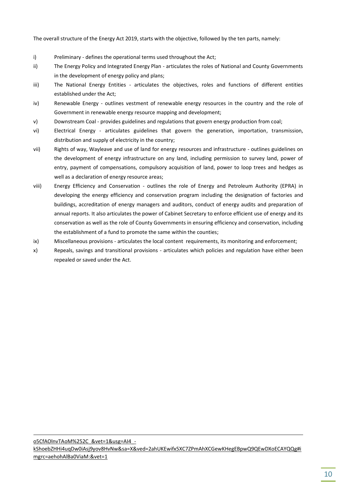The overall structure of the Energy Act 2019, starts with the objective, followed by the ten parts, namely:

- i) Preliminary defines the operational terms used throughout the Act;
- ii) The Energy Policy and Integrated Energy Plan articulates the roles of National and County Governments in the development of energy policy and plans;
- iii) The National Energy Entities articulates the objectives, roles and functions of different entities established under the Act;
- iv) Renewable Energy outlines vestment of renewable energy resources in the country and the role of Government in renewable energy resource mapping and development;
- v) Downstream Coal provides guidelines and regulations that govern energy production from coal;
- vi) Electrical Energy articulates guidelines that govern the generation, importation, transmission, distribution and supply of electricity in the country;
- vii) Rights of way, Wayleave and use of land for energy resources and infrastructure outlines guidelines on the development of energy infrastructure on any land, including permission to survey land, power of entry, payment of compensations, compulsory acquisition of land, power to loop trees and hedges as well as a declaration of energy resource areas;
- viii) Energy Efficiency and Conservation outlines the role of Energy and Petroleum Authority (EPRA) in developing the energy efficiency and conservation program including the designation of factories and buildings, accreditation of energy managers and auditors, conduct of energy audits and preparation of annual reports. It also articulates the power of Cabinet Secretary to enforce efficient use of energy and its conservation as well as the role of County Governments in ensuring efficiency and conservation, including the establishment of a fund to promote the same within the counties;
- ix) Miscellaneous provisions articulates the local content requirements, its monitoring and enforcement;
- x) Repeals, savings and transitional provisions articulates which policies and regulation have either been repealed or saved under the Act.

[o5CfAOlnvTAoM%252C\\_&vet=1&usg=AI4\\_](https://www.google.com/search?q=map+of+kenya+counties&rlz=1C1CHBD_enKE857KE857&sxsrf=ACYBGNTotkgdayhEt8n4tCO9vkPtMpSWUQ:1575182884241&tbm=isch&source=iu&ictx=1&fir=1HHRsetivMlTaM%253A%252CHo5CfAOlnvTAoM%252C_&vet=1&usg=AI4_-kShoebZHHi4uqDw0iAsj9yov8HvNw&sa=X&ved=2ahUKEwifx5XC7ZPmAhXCGewKHegEBpwQ9QEwDXoECAYQQg#imgrc=aehohAlBa0ViaM:&vet=1) [kShoebZHHi4uqDw0iAsj9yov8HvNw&sa=X&ved=2ahUKEwifx5XC7ZPmAhXCGewKHegEBpwQ9QEwDXoECAYQQg#i](https://www.google.com/search?q=map+of+kenya+counties&rlz=1C1CHBD_enKE857KE857&sxsrf=ACYBGNTotkgdayhEt8n4tCO9vkPtMpSWUQ:1575182884241&tbm=isch&source=iu&ictx=1&fir=1HHRsetivMlTaM%253A%252CHo5CfAOlnvTAoM%252C_&vet=1&usg=AI4_-kShoebZHHi4uqDw0iAsj9yov8HvNw&sa=X&ved=2ahUKEwifx5XC7ZPmAhXCGewKHegEBpwQ9QEwDXoECAYQQg#imgrc=aehohAlBa0ViaM:&vet=1) [mgrc=aehohAlBa0ViaM:&vet=1](https://www.google.com/search?q=map+of+kenya+counties&rlz=1C1CHBD_enKE857KE857&sxsrf=ACYBGNTotkgdayhEt8n4tCO9vkPtMpSWUQ:1575182884241&tbm=isch&source=iu&ictx=1&fir=1HHRsetivMlTaM%253A%252CHo5CfAOlnvTAoM%252C_&vet=1&usg=AI4_-kShoebZHHi4uqDw0iAsj9yov8HvNw&sa=X&ved=2ahUKEwifx5XC7ZPmAhXCGewKHegEBpwQ9QEwDXoECAYQQg#imgrc=aehohAlBa0ViaM:&vet=1)

1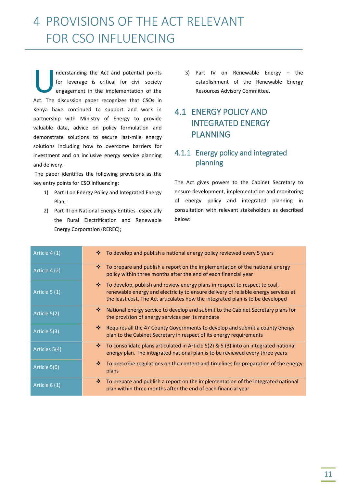# 4 PROVISIONS OF THE ACT RELEVANT FOR CSO INFLUENCING

nderstanding the Act and potential points for leverage is critical for civil society engagement in the implementation of the Inderstanding the Act and potential points<br>for leverage is critical for civil society<br>engagement in the implementation of the<br>Act. The discussion paper recognizes that CSOs in Kenya have continued to support and work in partnership with Ministry of Energy to provide valuable data, advice on policy formulation and demonstrate solutions to secure last-mile energy solutions including how to overcome barriers for investment and on inclusive energy service planning and delivery.

The paper identifies the following provisions as the key entry points for CSO influencing:

- 1) Part II on Energy Policy and Integrated Energy Plan;
- 2) Part III on National Energy Entities- especially the Rural Electrification and Renewable Energy Corporation (REREC);

3) Part IV on Renewable Energy – the establishment of the Renewable Energy Resources Advisory Committee.

# 4.1 ENERGY POLICY AND INTEGRATED ENERGY PLANNING

## 4.1.1 Energy policy and integrated planning

The Act gives powers to the Cabinet Secretary to ensure development, implementation and monitoring of energy policy and integrated planning in consultation with relevant stakeholders as described below:

| Article 4 (1) | To develop and publish a national energy policy reviewed every 5 years<br>❖                                                                                                                                                                             |
|---------------|---------------------------------------------------------------------------------------------------------------------------------------------------------------------------------------------------------------------------------------------------------|
| Article 4 (2) | To prepare and publish a report on the implementation of the national energy<br>❖<br>policy within three months after the end of each financial year                                                                                                    |
| Article 5 (1) | ※<br>To develop, publish and review energy plans in respect to respect to coal,<br>renewable energy and electricity to ensure delivery of reliable energy services at<br>the least cost. The Act articulates how the integrated plan is to be developed |
| Article 5(2)  | National energy service to develop and submit to the Cabinet Secretary plans for<br>❖<br>the provision of energy services per its mandate                                                                                                               |
| Article 5(3)  | 壘<br>Requires all the 47 County Governments to develop and submit a county energy<br>plan to the Cabinet Secretary in respect of its energy requirements                                                                                                |
| Articles 5(4) | To consolidate plans articulated in Article 5(2) & 5 (3) into an integrated national<br>❖<br>energy plan. The integrated national plan is to be reviewed every three years                                                                              |
| Article 5(6)  | To prescribe regulations on the content and timelines for preparation of the energy<br>❖<br>plans                                                                                                                                                       |
| Article 6 (1) | ❖<br>To prepare and publish a report on the implementation of the integrated national<br>plan within three months after the end of each financial year                                                                                                  |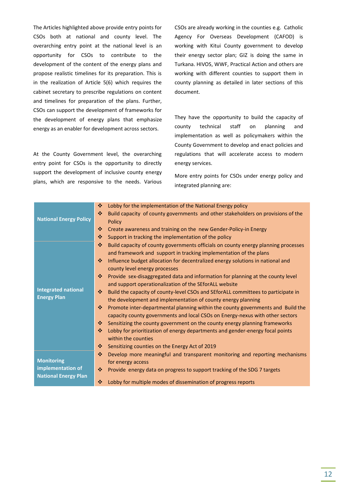The Articles highlighted above provide entry points for CSOs both at national and county level. The overarching entry point at the national level is an opportunity for CSOs to contribute to the development of the content of the energy plans and propose realistic timelines for its preparation. This is in the realization of Article 5(6) which requires the cabinet secretary to prescribe regulations on content and timelines for preparation of the plans. Further, CSOs can support the development of frameworks for the development of energy plans that emphasize energy as an enabler for development across sectors.

At the County Government level, the overarching entry point for CSOs is the opportunity to directly support the development of inclusive county energy plans, which are responsive to the needs. Various CSOs are already working in the counties e.g. Catholic Agency For Overseas Development (CAFOD) is working with Kitui County government to develop their energy sector plan; GIZ is doing the same in Turkana. HIVOS, WWF, Practical Action and others are working with different counties to support them in county planning as detailed in later sections of this document.

They have the opportunity to build the capacity of county technical staff on planning and implementation as well as policymakers within the County Government to develop and enact policies and regulations that will accelerate access to modern energy services.

More entry points for CSOs under energy policy and integrated planning are:

|                               | ❖<br>Lobby for the implementation of the National Energy policy                         |
|-------------------------------|-----------------------------------------------------------------------------------------|
| <b>National Energy Policy</b> | ❖<br>Build capacity of county governments and other stakeholders on provisions of the   |
|                               | <b>Policy</b>                                                                           |
|                               | ❖<br>Create awareness and training on the new Gender-Policy-in Energy                   |
|                               | ❖<br>Support in tracking the implementation of the policy                               |
|                               | Build capacity of county governments officials on county energy planning processes<br>❖ |
|                               | and framework and support in tracking implementation of the plans                       |
|                               | 壘<br>Influence budget allocation for decentralized energy solutions in national and     |
|                               | county level energy processes                                                           |
|                               | ❖<br>Provide sex-disaggregated data and information for planning at the county level    |
|                               | and support operationalization of the SEforALL website                                  |
| <b>Integrated national</b>    | Build the capacity of county-level CSOs and SEforALL committees to participate in<br>÷  |
| <b>Energy Plan</b>            | the development and implementation of county energy planning                            |
|                               | 壘<br>Promote inter-departmental planning within the county governments and Build the    |
|                               | capacity county governments and local CSOs on Energy-nexus with other sectors           |
|                               | Sensitizing the county government on the county energy planning frameworks<br>❖         |
|                               | 壘<br>Lobby for prioritization of energy departments and gender-energy focal points      |
|                               | within the counties                                                                     |
|                               | ❖<br>Sensitizing counties on the Energy Act of 2019                                     |
|                               | 壘<br>Develop more meaningful and transparent monitoring and reporting mechanisms        |
| <b>Monitoring</b>             | for energy access                                                                       |
| implementation of             | Provide energy data on progress to support tracking of the SDG 7 targets<br>壘           |
| <b>National Energy Plan</b>   |                                                                                         |
|                               | Lobby for multiple modes of dissemination of progress reports<br>❖                      |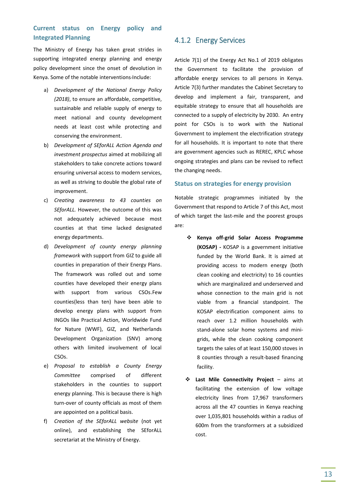### **Current status on Energy policy and Integrated Planning**

The Ministry of Energy has taken great strides in supporting integrated energy planning and energy policy development since the onset of devolution in Kenya. Some of the notable interventions Include:

- a) *Development of the National Energy Policy (2018)*, to ensure an affordable, competitive, sustainable and reliable supply of energy to meet national and county development needs at least cost while protecting and conserving the environment.
- b) *Development of SEforALL Action Agenda and investment prospectus* aimed at mobilizing all stakeholders to take concrete actions toward ensuring universal access to modern services, as well as striving to double the global rate of improvement.
- c) *Creating awareness to 43 counties on SEforALL.* However, the outcome of this was not adequately achieved because most counties at that time lacked designated energy departments.
- d) *Development of county energy planning framework* with support from GIZ to guide all counties in preparation of their Energy Plans. The framework was rolled out and some counties have developed their energy plans with support from various CSOs.Few counties(less than ten) have been able to develop energy plans with support from INGOs like Practical Action, Worldwide Fund for Nature (WWF), GIZ, and Netherlands Development Organization (SNV) among others with limited involvement of local CSOs.
- e) *Proposal to establish a County Energy Committee* comprised of different stakeholders in the counties to support energy planning. This is because there is high turn-over of county officials as most of them are appointed on a political basis.
- f) *Creation of the SEforALL website* (not yet online), and establishing the SEforALL secretariat at the Ministry of Energy.

#### 4.1.2 Energy Services

Article 7(1) of the Energy Act No.1 of 2019 obligates the Government to facilitate the provision of affordable energy services to all persons in Kenya. Article 7(3) further mandates the Cabinet Secretary to develop and implement a fair, transparent, and equitable strategy to ensure that all households are connected to a supply of electricity by 2030. An entry point for CSOs is to work with the National Government to implement the electrification strategy for all households. It is important to note that there are government agencies such as REREC, KPLC whose ongoing strategies and plans can be revised to reflect the changing needs.

#### **Status on strategies for energy provision**

Notable strategic programmes initiated by the Government that respond to Article 7 of this Act, most of which target the last-mile and the poorest groups are:

- **Kenya off-grid Solar Access Programme (KOSAP) -** KOSAP is a government initiative funded by the World Bank. It is aimed at providing access to modern energy (both clean cooking and electricity) to 16 counties which are marginalized and underserved and whose connection to the main grid is not viable from a financial standpoint. The KOSAP electrification component aims to reach over 1.2 million households with stand-alone solar home systems and minigrids, while the clean cooking component targets the sales of at least 150,000 stoves in 8 counties through a result-based financing facility.
- **Last Mile Connectivity Project** aims at facilitating the extension of low voltage electricity lines from 17,967 transformers across all the 47 counties in Kenya reaching over 1,035,801 households within a radius of 600m from the transformers at a subsidized cost.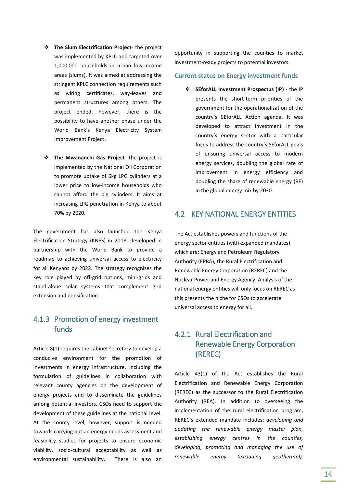- **The Slum Electrification Project** the project was implemented by KPLC and targeted over 1,000,000 households in urban low-income areas (slums). It was aimed at addressing the stringent KPLC connection requirements such as wiring certificates, way-leaves and permanent structures among others. The project ended, however, there is the possibility to have another phase under the World Bank's Kenya Electricity System Improvement Project.
- $\div$  The Mwananchi Gas Project- the project is implemented by the National Oil Corporation to promote uptake of 6kg LPG cylinders at a lower price to low-income households who cannot afford the big cylinders. It aims at increasing LPG penetration in Kenya to about 70% by 2020.

The government has also launched the Kenya Electrification Strategy (KNES) in 2018, developed in partnership with the World Bank to provide a roadmap to achieving universal access to electricity for all Kenyans by 2022. The strategy recognizes the key role played by off-grid options, mini-grids and stand-alone solar systems that complement grid extension and densification.

### 4.1.3 Promotion of energy investment funds

Article 8(1) requires the cabinet secretary to develop a conducive environment for the promotion of investments in energy infrastructure, including the formulation of guidelines in collaboration with relevant county agencies on the development of energy projects and to disseminate the guidelines among potential investors. CSOs need to support the development of these guidelines at the national level. At the county level, however, support is needed towards carrying out an energy needs assessment and feasibility studies for projects to ensure economic viability, socio-cultural acceptability as well as environmental sustainability. There is also an opportunity in supporting the counties to market investment-ready projects to potential investors.

#### **Current status on Energy investment funds**

 **SEforALL Investment Prospectus (IP) -** the IP presents the short-term priorities of the government for the operationalization of the country's SEforALL Action agenda. It was developed to attract investment in the country's energy sector with a particular focus to address the country's SEforALL goals of ensuring universal access to modern energy services, doubling the global rate of improvement in energy efficiency and doubling the share of renewable energy (RE) in the global energy mix by 2030.

#### 4.2 KEY NATIONAL ENERGY ENTITIES

The Act establishes powers and functions of the energy sector entities (with expanded mandates) which are; Energy and Petroleum Regulatory Authority (EPRA), the Rural Electrification and Renewable Energy Corporation (REREC) and the Nuclear Power and Energy Agency. Analysis of the national energy entities will only focus on REREC as this presents the niche for CSOs to accelerate universal access to energy for all.

### 4.2.1 Rural Electrification and Renewable Energy Corporation (REREC)

Article 43(1) of the Act establishes the Rural Electrification and Renewable Energy Corporation (REREC) as the successor to the Rural Electrification Authority (REA). In addition to overseeing the implementation of the rural electrification program, REREC's extended mandate includes; *developing and updating the renewable energy master plan, establishing energy centres in the counties, developing, promoting and managing the use of renewable energy (excluding geothermal),*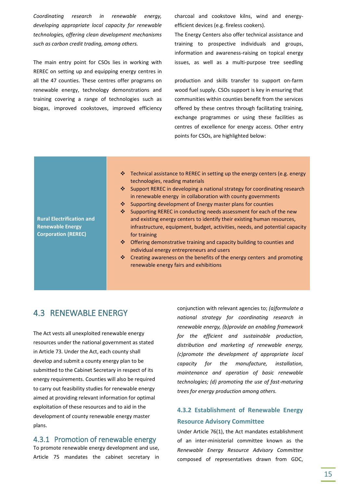*Coordinating research in renewable energy, developing appropriate local capacity for renewable technologies, offering clean development mechanisms such as carbon credit trading, among others.*

The main entry point for CSOs lies in working with REREC on setting up and equipping energy centres in all the 47 counties. These centres offer programs on renewable energy, technology demonstrations and training covering a range of technologies such as biogas, improved cookstoves, improved efficiency charcoal and cookstove kilns, wind and energyefficient devices (e.g. fireless cookers).

The Energy Centers also offer technical assistance and training to prospective individuals and groups, information and awareness-raising on topical energy issues, as well as a multi-purpose tree seedling

production and skills transfer to support on-farm wood fuel supply. CSOs support is key in ensuring that communities within counties benefit from the services offered by these centres through facilitating training, exchange programmes or using these facilities as centres of excellence for energy access. Other entry points for CSOs, are highlighted below:

- Technical assistance to REREC in setting up the energy centers (e.g. energy technologies, reading materials
- ❖ Support REREC in developing a national strategy for coordinating research in renewable energy in collaboration with county governments
- ❖ Supporting development of Energy master plans for counties
- ❖ Supporting REREC in conducting needs assessment for each of the new and existing energy centers to identify their existing human resources, infrastructure, equipment, budget, activities, needs, and potential capacity for training
- Offering demonstrative training and capacity building to counties and individual energy entrepreneurs and users
- $\cdot$  Creating awareness on the benefits of the energy centers and promoting renewable energy fairs and exhibitions

### 4.3 RENEWABLE ENERGY

The Act vests all unexploited renewable energy resources under the national government as stated in Article 73. Under the Act, each county shall develop and submit a county energy plan to be submitted to the Cabinet Secretary in respect of its energy requirements. Counties will also be required to carry out feasibility studies for renewable energy aimed at providing relevant information for optimal exploitation of these resources and to aid in the development of county renewable energy master plans.

#### 4.3.1 Promotion of renewable energy

To promote renewable energy development and use, Article 75 mandates the cabinet secretary in conjunction with relevant agencies to; *(a)formulate a national strategy for coordinating research in renewable energy, (b)provide an enabling framework for the efficient and sustainable production, distribution and marketing of renewable energy, (c)promote the development of appropriate local capacity for the manufacture, installation, maintenance and operation of basic renewable technologies; (d) promoting the use of fast-maturing trees for energy production among others.*

### **4.3.2 Establishment of Renewable Energy Resource Advisory Committee**

Under Article 76(1), the Act mandates establishment of an inter-ministerial committee known as the *Renewable Energy Resource Advisory Committee*  composed of representatives drawn from GDC,

**Rural Electrification and Renewable Energy Corporation (REREC)**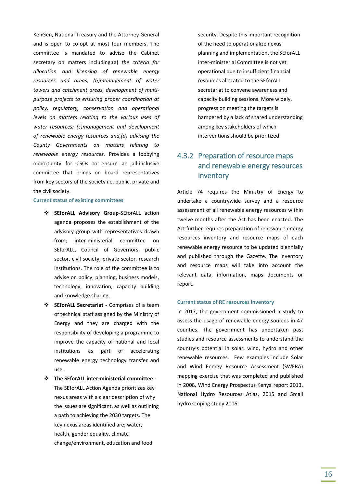KenGen, National Treasury and the Attorney General and is open to co-opt at most four members. The committee is mandated to advise the Cabinet secretary on matters including;(a) *the criteria for allocation and licensing of renewable energy resources and areas, (b)management of water towers and catchment areas, development of multipurpose projects to ensuring proper coordination at policy, regulatory, conservation and operational levels on matters relating to the various uses of water resources; (c)management and development of renewable energy resources and,(d) advising the County Governments on matters relating to renewable energy resources.* Provides a lobbying opportunity for CSOs to ensure an all-inclusive committee that brings on board representatives from key sectors of the society i.e. public, private and the civil society.

#### **Current status of existing committees**

- **SEforALL Advisory Group-**SEforALL action agenda proposes the establishment of the advisory group with representatives drawn from; inter-ministerial committee on SEforALL, Council of Governors, public sector, civil society, private sector, research institutions. The role of the committee is to advise on policy, planning, business models, technology, innovation, capacity building and knowledge sharing.
- **SEforALL Secretariat -** Comprises of a team of technical staff assigned by the Ministry of Energy and they are charged with the responsibility of developing a programme to improve the capacity of national and local institutions as part of accelerating renewable energy technology transfer and use.
- **The SEforALL inter-ministerial committee -** The SEforALL Action Agenda prioritizes key nexus areas with a clear description of why the issues are significant, as well as outlining a path to achieving the 2030 targets. The key nexus areas identified are; water, health, gender equality, climate change/environment, education and food

security. Despite this important recognition of the need to operationalize nexus planning and implementation, the SEforALL inter-ministerial Committee is not yet operational due to insufficient financial resources allocated to the SEforALL secretariat to convene awareness and capacity building sessions. More widely, progress on meeting the targets is hampered by a lack of shared understanding among key stakeholders of which interventions should be prioritized.

### 4.3.2 Preparation of resource maps and renewable energy resources inventory

Article 74 requires the Ministry of Energy to undertake a countrywide survey and a resource assessment of all renewable energy resources within twelve months after the Act has been enacted. The Act further requires preparation of renewable energy resources inventory and resource maps of each renewable energy resource to be updated biennially and published through the Gazette. The inventory and resource maps will take into account the relevant data, information, maps documents or report.

#### **Current status of RE resources inventory**

In 2017, the government commissioned a study to assess the usage of renewable energy sources in 47 counties. The government has undertaken past studies and resource assessments to understand the country's potential in solar, wind, hydro and other renewable resources. Few examples include Solar and Wind Energy Resource Assessment (SWERA) mapping exercise that was completed and published in 2008, Wind Energy Prospectus Kenya report 2013, National Hydro Resources Atlas, 2015 and Small hydro scoping study 2006.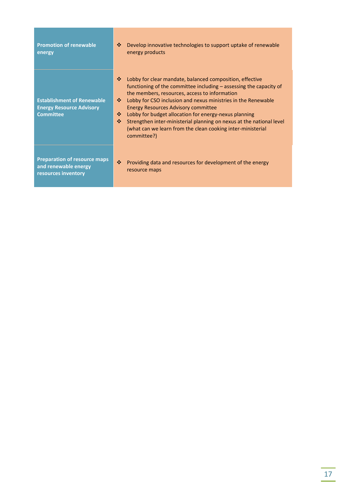| <b>Promotion of renewable</b><br>energy                                                  | Develop innovative technologies to support uptake of renewable<br>❖<br>energy products                                                                                                                                                                                                                                                                                                                                                                                                                                               |
|------------------------------------------------------------------------------------------|--------------------------------------------------------------------------------------------------------------------------------------------------------------------------------------------------------------------------------------------------------------------------------------------------------------------------------------------------------------------------------------------------------------------------------------------------------------------------------------------------------------------------------------|
| <b>Establishment of Renewable</b><br><b>Energy Resource Advisory</b><br><b>Committee</b> | Lobby for clear mandate, balanced composition, effective<br>❖<br>functioning of the committee including $-$ assessing the capacity of<br>the members, resources, access to information<br>Lobby for CSO inclusion and nexus ministries in the Renewable<br>桑。<br><b>Energy Resources Advisory committee</b><br>Lobby for budget allocation for energy-nexus planning<br>❖<br>壘<br>Strengthen inter-ministerial planning on nexus at the national level<br>(what can we learn from the clean cooking inter-ministerial<br>committee?) |
| <b>Preparation of resource maps</b><br>and renewable energy<br>resources inventory       | ❖<br>Providing data and resources for development of the energy<br>resource maps                                                                                                                                                                                                                                                                                                                                                                                                                                                     |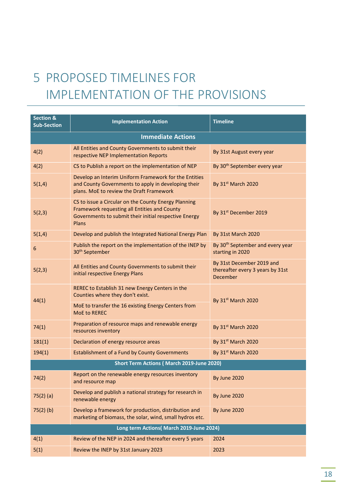# 5 PROPOSED TIMELINES FOR IMPLEMENTATION OF THE PROVISIONS

| Section &<br><b>Sub-Section</b> | <b>Implementation Action</b>                                                                                                                                           | <b>Timeline</b>                                                           |  |
|---------------------------------|------------------------------------------------------------------------------------------------------------------------------------------------------------------------|---------------------------------------------------------------------------|--|
|                                 | <b>Immediate Actions</b>                                                                                                                                               |                                                                           |  |
| 4(2)                            | All Entities and County Governments to submit their<br>respective NEP Implementation Reports                                                                           | By 31st August every year                                                 |  |
| 4(2)                            | CS to Publish a report on the implementation of NEP                                                                                                                    | By 30 <sup>th</sup> September every year                                  |  |
| 5(1,4)                          | Develop an Interim Uniform Framework for the Entities<br>and County Governments to apply in developing their<br>plans. MoE to review the Draft Framework               | By 31st March 2020                                                        |  |
| 5(2,3)                          | CS to issue a Circular on the County Energy Planning<br>Framework requesting all Entities and County<br>Governments to submit their initial respective Energy<br>Plans | By 31 <sup>st</sup> December 2019                                         |  |
| 5(1,4)                          | Develop and publish the Integrated National Energy Plan                                                                                                                | By 31st March 2020                                                        |  |
| 6                               | Publish the report on the implementation of the INEP by<br>30 <sup>th</sup> September                                                                                  | By 30 <sup>th</sup> September and every year<br>starting in 2020          |  |
| 5(2,3)                          | All Entities and County Governments to submit their<br>initial respective Energy Plans                                                                                 | By 31st December 2019 and<br>thereafter every 3 years by 31st<br>December |  |
| 44(1)                           | REREC to Establish 31 new Energy Centers in the<br>Counties where they don't exist.                                                                                    | By 31st March 2020                                                        |  |
|                                 | MoE to transfer the 16 existing Energy Centers from<br><b>MoE to REREC</b>                                                                                             |                                                                           |  |
| 74(1)                           | Preparation of resource maps and renewable energy<br>resources inventory                                                                                               | By 31 <sup>st</sup> March 2020                                            |  |
| 181(1)                          | Declaration of energy resource areas                                                                                                                                   | By 31st March 2020                                                        |  |
| 194(1)                          | Establishment of a Fund by County Governments                                                                                                                          | By 31st March 2020                                                        |  |
|                                 | Short Term Actions (March 2019-June 2020)                                                                                                                              |                                                                           |  |
| 74(2)                           | Report on the renewable energy resources inventory<br>and resource map                                                                                                 | By June 2020                                                              |  |
| $75(2)$ (a)                     | Develop and publish a national strategy for research in<br>renewable energy                                                                                            | By June 2020                                                              |  |
| $75(2)$ (b)                     | Develop a framework for production, distribution and<br>marketing of biomass, the solar, wind, small hydros etc.                                                       | By June 2020                                                              |  |
|                                 | Long term Actions( March 2019-June 2024)                                                                                                                               |                                                                           |  |
| 4(1)                            | Review of the NEP in 2024 and thereafter every 5 years                                                                                                                 | 2024                                                                      |  |
| 5(1)                            | Review the INEP by 31st January 2023                                                                                                                                   | 2023                                                                      |  |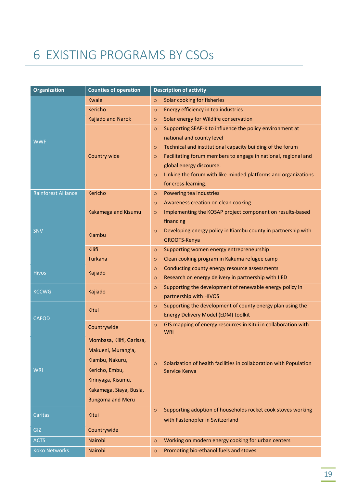# 6 EXISTING PROGRAMS BY CSOs

| <b>Organization</b>        | <b>Counties of operation</b> | <b>Description of activity</b>                                                |
|----------------------------|------------------------------|-------------------------------------------------------------------------------|
|                            | Kwale                        | Solar cooking for fisheries<br>$\circ$                                        |
|                            | Kericho                      | Energy efficiency in tea industries<br>$\circ$                                |
|                            | Kajiado and Narok            | Solar energy for Wildlife conservation<br>$\circ$                             |
|                            |                              | Supporting SEAF-K to influence the policy environment at<br>$\circ$           |
| <b>WWF</b>                 |                              | national and county level                                                     |
|                            |                              | Technical and institutional capacity building of the forum<br>$\circ$         |
|                            | Country wide                 | Facilitating forum members to engage in national, regional and<br>$\circ$     |
|                            |                              | global energy discourse.                                                      |
|                            |                              | Linking the forum with like-minded platforms and organizations<br>$\circ$     |
|                            |                              | for cross-learning.                                                           |
| <b>Rainforest Alliance</b> | Kericho                      | Powering tea industries<br>$\circ$                                            |
|                            |                              | Awareness creation on clean cooking<br>$\circ$                                |
|                            | Kakamega and Kisumu          | Implementing the KOSAP project component on results-based<br>$\circ$          |
|                            |                              | financing                                                                     |
| SNV                        | Kiambu                       | Developing energy policy in Kiambu county in partnership with<br>$\circ$      |
|                            |                              | GROOTS-Kenya                                                                  |
|                            | Kilifi                       | Supporting women energy entrepreneurship<br>$\circ$                           |
|                            | <b>Turkana</b>               | Clean cooking program in Kakuma refugee camp<br>$\circ$                       |
| <b>Hivos</b>               | Kajiado                      | Conducting county energy resource assessments<br>$\circ$                      |
|                            |                              | Research on energy delivery in partnership with IIED<br>$\circ$               |
| <b>KCCWG</b>               | Kajiado                      | Supporting the development of renewable energy policy in<br>$\circ$           |
|                            |                              | partnership with HIVOS                                                        |
|                            | Kitui                        | Supporting the development of county energy plan using the<br>$\circ$         |
| <b>CAFOD</b>               |                              | Energy Delivery Model (EDM) toolkit                                           |
|                            | Countrywide                  | GIS mapping of energy resources in Kitui in collaboration with<br>$\circ$     |
|                            | Mombasa, Kilifi, Garissa,    | WRI                                                                           |
|                            | Makueni, Murang'a,           |                                                                               |
|                            |                              |                                                                               |
|                            | Kiambu, Nakuru,              | Solarization of health facilities in collaboration with Population<br>$\circ$ |
| <b>WRI</b>                 | Kericho, Embu,               | Service Kenya                                                                 |
|                            | Kirinyaga, Kisumu,           |                                                                               |
|                            | Kakamega, Siaya, Busia,      |                                                                               |
|                            | <b>Bungoma and Meru</b>      |                                                                               |
| Caritas                    | Kitui                        | Supporting adoption of households rocket cook stoves working<br>$\circ$       |
|                            |                              | with Fastenopfer in Switzerland                                               |
| <b>GIZ</b>                 | Countrywide                  |                                                                               |
| <b>ACTS</b>                | Nairobi                      | Working on modern energy cooking for urban centers<br>$\circ$                 |
| <b>Koko Networks</b>       | Nairobi                      | Promoting bio-ethanol fuels and stoves<br>$\circ$                             |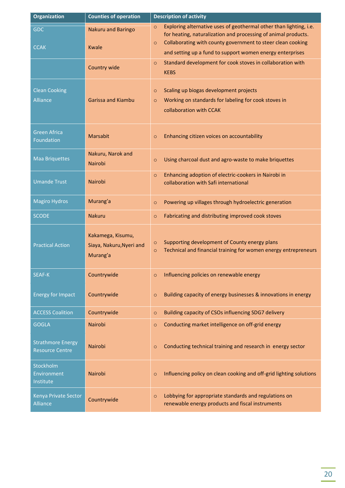| <b>Organization</b>                                | <b>Counties of operation</b>                              | <b>Description of activity</b>                                                                                                                  |
|----------------------------------------------------|-----------------------------------------------------------|-------------------------------------------------------------------------------------------------------------------------------------------------|
| <b>GDC</b>                                         | Nakuru and Baringo                                        | Exploring alternative uses of geothermal other than lighting, i.e.<br>$\circ$<br>for heating, naturalization and processing of animal products. |
| <b>CCAK</b>                                        | Kwale                                                     | Collaborating with county government to steer clean cooking<br>$\circ$<br>and setting up a fund to support women energy enterprises             |
|                                                    | Country wide                                              | Standard development for cook stoves in collaboration with<br>$\circ$<br><b>KEBS</b>                                                            |
| <b>Clean Cooking</b><br><b>Alliance</b>            | <b>Garissa and Kiambu</b>                                 | Scaling up biogas development projects<br>$\circ$<br>Working on standards for labeling for cook stoves in<br>$\circ$<br>collaboration with CCAK |
| <b>Green Africa</b><br>Foundation                  | <b>Marsabit</b>                                           | Enhancing citizen voices on accountability<br>$\circ$                                                                                           |
| <b>Maa Briquettes</b>                              | Nakuru, Narok and<br>Nairobi                              | Using charcoal dust and agro-waste to make briquettes<br>$\circ$                                                                                |
| <b>Umande Trust</b>                                | <b>Nairobi</b>                                            | Enhancing adoption of electric-cookers in Nairobi in<br>$\circ$<br>collaboration with Safi international                                        |
| <b>Magiro Hydros</b>                               | Murang'a                                                  | Powering up villages through hydroelectric generation<br>$\circ$                                                                                |
| <b>SCODE</b>                                       | <b>Nakuru</b>                                             | Fabricating and distributing improved cook stoves<br>$\circ$                                                                                    |
| <b>Practical Action</b>                            | Kakamega, Kisumu,<br>Siaya, Nakuru, Nyeri and<br>Murang'a | Supporting development of County energy plans<br>$\circ$<br>Technical and financial training for women energy entrepreneurs<br>$\circ$          |
| SEAF-K                                             | Countrywide                                               | Influencing policies on renewable energy<br>$\circ$                                                                                             |
| <b>Energy for Impact</b>                           | Countrywide                                               | Building capacity of energy businesses & innovations in energy<br>$\circ$                                                                       |
| <b>ACCESS Coalition</b>                            | Countrywide                                               | Building capacity of CSOs influencing SDG7 delivery<br>$\circ$                                                                                  |
| <b>GOGLA</b>                                       | <b>Nairobi</b>                                            | Conducting market intelligence on off-grid energy<br>$\circ$                                                                                    |
| <b>Strathmore Energy</b><br><b>Resource Centre</b> | <b>Nairobi</b>                                            | Conducting technical training and research in energy sector<br>$\circ$                                                                          |
| Stockholm<br>Environment<br>Institute              | Nairobi                                                   | Influencing policy on clean cooking and off-grid lighting solutions<br>$\circ$                                                                  |
| Kenya Private Sector<br><b>Alliance</b>            | Countrywide                                               | Lobbying for appropriate standards and regulations on<br>$\circ$<br>renewable energy products and fiscal instruments                            |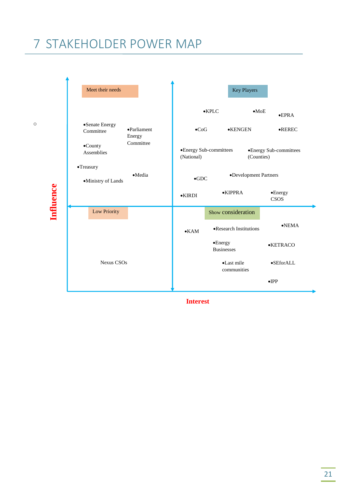# 7 STAKEHOLDER POWER MAP

|           | Meet their needs                                              |                 | Key Players                           |                                 |
|-----------|---------------------------------------------------------------|-----------------|---------------------------------------|---------------------------------|
|           |                                                               |                 | $•$ MoE<br>$\bullet$ KPLC             | $\bullet$ EPRA                  |
|           | •Senate Energy<br>$\bullet$ Parliament<br>Committee<br>Energy | $\bullet$ CoG   | $\bullet$ KENGEN                      | $\bullet$ REREC                 |
|           | Committee<br>$\bullet$ County<br>Assemblies                   | (National)      | •Energy Sub-committees<br>(Counties)  | •Energy Sub-committees          |
|           | •Treasury<br>$\bullet$ Media<br>·Ministry of Lands            | $\bullet$ GDC   | •Development Partners                 |                                 |
| Influence |                                                               | $\bullet$ KIRDI | $\bullet$ KIPPRA                      | $\bullet$ Energy<br><b>CSOS</b> |
|           | Low Priority                                                  |                 | Show consideration                    |                                 |
|           |                                                               | $\bullet$ KAM   | •Research Institutions                | $\bullet$ NEMA                  |
|           |                                                               |                 | $\bullet$ Energy<br><b>Businesses</b> | <b>•KETRACO</b>                 |
|           | <b>Nexus CSOs</b>                                             |                 | •Last mile<br>communities             | $\bullet$ SEforALL              |
|           |                                                               |                 |                                       | $\bullet$ IPP                   |

**Interest**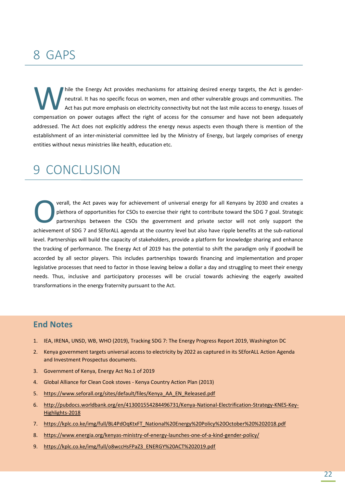# 8 GAPS

hile the Energy Act provides mechanisms for attaining desired energy targets, the Act is genderneutral. It has no specific focus on women, men and other vulnerable groups and communities. The Act has put more emphasis on electricity connectivity but not the last mile access to energy. Issues of Thile the Energy Act provides mechanisms for attaining desired energy targets, the Act is gender-<br>neutral. It has no specific focus on women, men and other vulnerable groups and communities. The<br>Act has put more emphasis o addressed. The Act does not explicitly address the energy nexus aspects even though there is mention of the establishment of an inter-ministerial committee led by the Ministry of Energy, but largely comprises of energy entities without nexus ministries like health, education etc.

# 9 CONCLUSION

verall, the Act paves way for achievement of universal energy for all Kenyans by 2030 and creates a plethora of opportunities for CSOs to exercise their right to contribute toward the SDG 7 goal. Strategic partnerships between the CSOs the government and private sector will not only support the **Acchievement of solution** of opportunities for CSOs to exercise their right to contribute toward the SDG 7 goal. Strategic partnerships between the CSOs the government and private sector will not only support the achievem level. Partnerships will build the capacity of stakeholders, provide a platform for knowledge sharing and enhance the tracking of performance. The Energy Act of 2019 has the potential to shift the paradigm only if goodwill be accorded by all sector players. This includes partnerships towards financing and implementation and proper legislative processes that need to factor in those leaving below a dollar a day and struggling to meet their energy needs. Thus, inclusive and participatory processes will be crucial towards achieving the eagerly awaited transformations in the energy fraternity pursuant to the Act.

## **End Notes**

- 1. IEA, IRENA, UNSD, WB, WHO (2019), Tracking SDG 7: The Energy Progress Report 2019, Washington DC
- 2. Kenya government targets universal access to electricity by 2022 as captured in its SEforALL Action Agenda and Investment Prospectus documents.
- 3. Government of Kenya, Energy Act No.1 of 2019
- 4. Global Alliance for Clean Cook stoves Kenya Country Action Plan (2013)
- 5. [https://www.seforall.org/sites/default/files/Kenya\\_AA\\_EN\\_Released.pdf](https://www.seforall.org/sites/default/files/Kenya_AA_EN_Released.pdf)
- 6. [http://pubdocs.worldbank.org/en/413001554284496731/Kenya-National-Electrification-Strategy-KNES-Key-](http://pubdocs.worldbank.org/en/413001554284496731/Kenya-National-Electrification-Strategy-KNES-Key-Highlights-2018)[Highlights-2018](http://pubdocs.worldbank.org/en/413001554284496731/Kenya-National-Electrification-Strategy-KNES-Key-Highlights-2018)
- 7. [https://kplc.co.ke/img/full/BL4PdOqKtxFT\\_National%20Energy%20Policy%20October%20%202018.pdf](https://kplc.co.ke/img/full/BL4PdOqKtxFT_National%20Energy%20Policy%20October%20%202018.pdf)
- 8. <https://www.energia.org/kenyas-ministry-of-energy-launches-one-of-a-kind-gender-policy/>
- 9. [https://kplc.co.ke/img/full/o8wccHsFPaZ3\\_ENERGY%20ACT%202019.pdf](https://kplc.co.ke/img/full/o8wccHsFPaZ3_ENERGY%20ACT%202019.pdf)